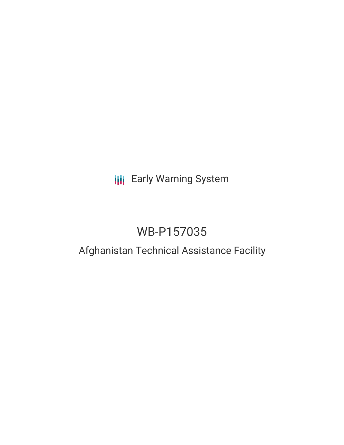# **III** Early Warning System

# WB-P157035

# Afghanistan Technical Assistance Facility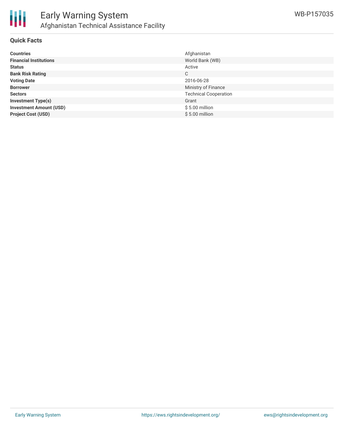

#### **Quick Facts**

| <b>Countries</b>               | Afghanistan                  |
|--------------------------------|------------------------------|
| <b>Financial Institutions</b>  | World Bank (WB)              |
| <b>Status</b>                  | Active                       |
| <b>Bank Risk Rating</b>        | C                            |
| <b>Voting Date</b>             | 2016-06-28                   |
| <b>Borrower</b>                | Ministry of Finance          |
| <b>Sectors</b>                 | <b>Technical Cooperation</b> |
| <b>Investment Type(s)</b>      | Grant                        |
| <b>Investment Amount (USD)</b> | $$5.00$ million              |
| <b>Project Cost (USD)</b>      | $$5.00$ million              |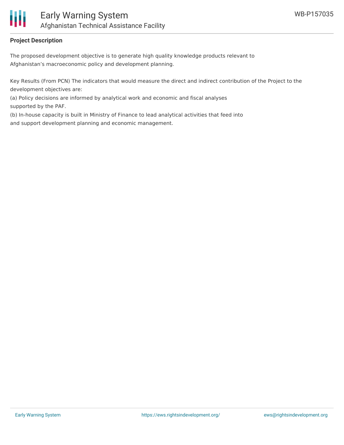

### **Project Description**

The proposed development objective is to generate high quality knowledge products relevant to Afghanistan's macroeconomic policy and development planning.

Key Results (From PCN) The indicators that would measure the direct and indirect contribution of the Project to the development objectives are:

(a) Policy decisions are informed by analytical work and economic and fiscal analyses supported by the PAF.

(b) In-house capacity is built in Ministry of Finance to lead analytical activities that feed into and support development planning and economic management.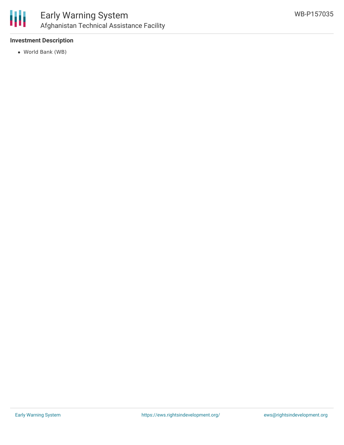

### **Investment Description**

World Bank (WB)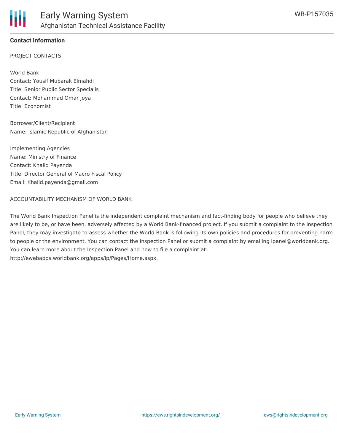## **Contact Information**

PROJECT CONTACTS

World Bank Contact: Yousif Mubarak Elmahdi Title: Senior Public Sector Specialis Contact: Mohammad Omar Joya Title: Economist

Borrower/Client/Recipient Name: Islamic Republic of Afghanistan

Implementing Agencies Name: Ministry of Finance Contact: Khalid Payenda Title: Director General of Macro Fiscal Policy Email: Khalid.payenda@gmail.com

#### ACCOUNTABILITY MECHANISM OF WORLD BANK

The World Bank Inspection Panel is the independent complaint mechanism and fact-finding body for people who believe they are likely to be, or have been, adversely affected by a World Bank-financed project. If you submit a complaint to the Inspection Panel, they may investigate to assess whether the World Bank is following its own policies and procedures for preventing harm to people or the environment. You can contact the Inspection Panel or submit a complaint by emailing ipanel@worldbank.org. You can learn more about the Inspection Panel and how to file a complaint at: http://ewebapps.worldbank.org/apps/ip/Pages/Home.aspx.